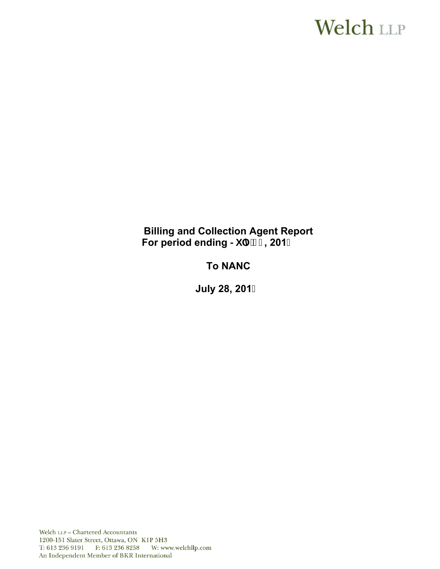# **Welch LLP**

# **Billing and Collection Agent Report**  For period ending >i `m' % 201&

# **To NANC**

**July 28, 201**

Welch LLP - Chartered Accountants 1200-151 Slater Street, Ottawa, ON K1P 5H3 T: 613 236 9191 F: 613 236 8258 W: www.welchllp.com An Independent Member of BKR International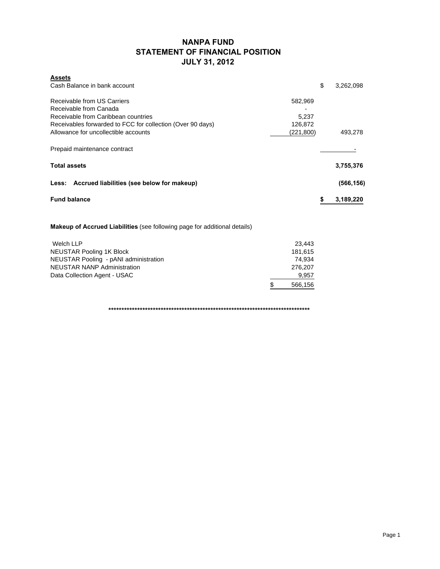### **NANPA FUND STATEMENT OF FINANCIAL POSITION JULY 31, 2012**

| <b>Assets</b>                                                         |                 |
|-----------------------------------------------------------------------|-----------------|
| Cash Balance in bank account                                          | \$<br>3,262,098 |
| Receivable from US Carriers<br>582,969                                |                 |
| Receivable from Canada                                                |                 |
| Receivable from Caribbean countries<br>5,237                          |                 |
| Receivables forwarded to FCC for collection (Over 90 days)<br>126,872 |                 |
| Allowance for uncollectible accounts<br>(221,800)                     | 493,278         |
| Prepaid maintenance contract                                          |                 |
| <b>Total assets</b>                                                   | 3,755,376       |
| Less: Accrued liabilities (see below for makeup)                      | (566, 156)      |
| <b>Fund balance</b>                                                   | \$<br>3,189,220 |
|                                                                       |                 |

**Makeup of Accrued Liabilities** (see following page for additional details)

| Welch LLP                             | 23.443       |
|---------------------------------------|--------------|
| <b>NEUSTAR Pooling 1K Block</b>       | 181.615      |
| NEUSTAR Pooling - pANI administration | 74.934       |
| <b>NEUSTAR NANP Administration</b>    | 276.207      |
| Data Collection Agent - USAC          | 9,957        |
|                                       | 566,156<br>S |

**\*\*\*\*\*\*\*\*\*\*\*\*\*\*\*\*\*\*\*\*\*\*\*\*\*\*\*\*\*\*\*\*\*\*\*\*\*\*\*\*\*\*\*\*\*\*\*\*\*\*\*\*\*\*\*\*\*\*\*\*\*\*\*\*\*\*\*\*\*\*\*\*\*\*\*\*\***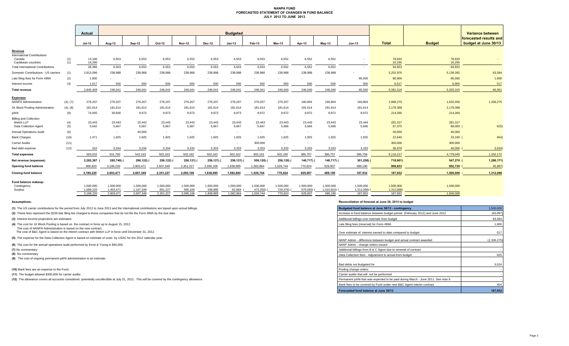#### **NANPA FUND FORECASTED STATEMENT OF CHANGES IN FUND BALANCE JULY 2012 TO JUNE 2013**

|                                                |            | Actual                 |                        |                        |                      |                          |                      | <b>Budgeted</b>     |                       |                                   |                       |                         |                         |                         |                     | Variance between                               |
|------------------------------------------------|------------|------------------------|------------------------|------------------------|----------------------|--------------------------|----------------------|---------------------|-----------------------|-----------------------------------|-----------------------|-------------------------|-------------------------|-------------------------|---------------------|------------------------------------------------|
|                                                |            | <b>Jul-12</b>          | Aug-12                 | Sep-12                 | Oct-12               | <b>Nov-12</b>            | Dec-12               | <b>Jan-13</b>       | Feb-13                | <b>Mar-13</b>                     | Apr-13                | $May-13$                | Jun-13                  | <b>Total</b>            | <b>Budget</b>       | forecasted results and<br>budget at June 30/13 |
| Revenue<br><b>International Contributions</b>  |            |                        |                        |                        |                      |                          |                      |                     |                       |                                   |                       |                         |                         |                         |                     |                                                |
| Canada<br>Caribbean countries                  | (1)<br>(1) | 13,106<br>16,290       | 6,553<br>$\sim$        | 6,553<br>$\sim$        | 6,553<br>$\sim$      | 6,553<br>$\sim$          | 6,553<br>$\sim$      | 6,553<br>$\sim$     | 6,553<br>$\sim$       | 6,552<br>$\overline{\phantom{a}}$ | 6,552<br>$\sim$       | 6,552<br>$\sim$         | $\sim$                  | 78,633<br>16,290        | 78,633<br>16,290    | $\sim$                                         |
| <b>Total International Contributions</b>       |            | 29.396                 | 6,553                  | 6,553                  | 6,553                | 6.553                    | 6,553                | 6,553               | 6,553                 | 6,552                             | 6,552                 | 6,552                   | $\sim$                  | 94,923                  | 94,923              |                                                |
| Domestic Contributions - US carriers           | (1)        | 2,813,096              | 238,988                | 238.988                | 238.988              | 238.988                  | 238,988              | 238,988             | 238.988               | 238.988                           | 238.988               | 238,988                 |                         | 5,202,976               | 5,139,392           | 63,584                                         |
| Late filing fees for Form 499A                 | (2)        | 1,900                  |                        |                        |                      |                          |                      |                     |                       |                                   |                       |                         | 85,000                  | 86,900                  | 85,000              | 1,900                                          |
| Interest income                                | (3)        | 1,017                  | 500                    | 500                    | 500                  | 500                      | 500                  | 500                 | 500                   | 500                               | 500                   | 500                     | 500                     | 6,517                   | 6,000               | 517                                            |
| <b>Total revenue</b>                           |            | 2,845,409              | 246,041                | 246.041                | 246,041              | 246.041                  | 246,041              | 246,041             | 246.041               | 246,040                           | 246,040               | 246,040                 | 85,500                  | 5,391,316               | 5,325,315           | 66,001                                         |
|                                                |            |                        |                        |                        |                      |                          |                      |                     |                       |                                   |                       |                         |                         |                         |                     |                                                |
| <b>Expenses</b><br><b>NANPA Administration</b> | (4), (7)   | 276,207                | 276,207                | 276,207                | 276,207              | 276,207                  | 276,207              | 276,207             | 276,207               | 276,207                           | 160,804               | 160,804                 | 160,804                 | 2,968,275               | 1,632,000           | 1,336,275                                      |
| 1K Block Pooling Administration                | (4), (8)   | 181,614                | 181,614                | 181,614                | 181,614              | 181,614                  | 181,614              | 181,614             | 181,614               | 181,614                           | 181,614               | 181,614                 | 181,614                 | 2,179,368               | 2,179,368           |                                                |
| pANI                                           | (9)        | 74,935                 | 39,600                 | 9,973                  | 9,973                | 9,973                    | 9,973                | 9,973               | 9,972                 | 9,972                             | 9,972                 | 9,972                   | 9,972                   | 214,260                 | 214,260             |                                                |
| <b>Billing and Collection</b>                  |            |                        |                        |                        |                      |                          |                      |                     |                       |                                   |                       |                         |                         |                         |                     |                                                |
| Welch LLP<br>Data Collection Agent             | (4)<br>(5) | 23,443<br>5,042        | 23,443<br>5,667        | 23,443<br>5,667        | 23,443<br>5,667      | 23,443<br>5,667          | 23,443<br>5,667      | 23,443<br>5,667     | 23,443<br>5,667       | 23,443<br>5,666                   | 23,443<br>5,666       | 23,443<br>5,666         | 23,444<br>5,666         | 281,317<br>67,375       | 281,317<br>68,000   | 625)                                           |
| <b>Annual Operations Audit</b>                 | (6)        | $\sim$                 | $\sim$                 | 40,000                 | $\sim$               | $\sim$                   | $\sim$               | $\sim$              | $\sim$                | $\sim$                            | $\sim$                |                         | $\sim$                  | 40,000                  | 40,000              |                                                |
| <b>Bank Charges</b>                            | (10)       | 1,471                  | 1,925                  | 1,925                  | 1,925                | 1,925                    | 1,925                | 1,925               | 1,925                 | 1,925                             | 1,925                 | 1,925                   | 1,925                   | 22,646                  | 23,100              | 454)                                           |
| <b>Carrier Audits</b>                          | (11)       | $\sim$                 | $\sim$                 | $\sim$                 | $\sim$               | $\overline{\phantom{a}}$ |                      | $\sim$              | 300,000               | $\sim$                            | $\sim$                | $\sim$                  | $\sim$                  | 300,000                 | 300,000             |                                                |
| Bad debt expense                               | (12)       | 310                    | 3,334                  | 3,334                  | 3,334                | 3,333                    | 3,333                | 3,333               | 3,333                 | 3,333                             | 3,333                 | 3,333                   | 3,333                   | 36,976                  | 40,000              | 3,024                                          |
| <b>Total expenses</b>                          |            | 563,022                | 531,790                | 542,163                | 502,163              | 502,162                  | 502,162              | 502,162             | 802,161               | 502,160                           | 386,757               | 386,757                 | 386,758                 | 6,110,217               | 4,778,045           | 1,332,172                                      |
| Net revenue (expenses)                         |            | 2,282,387              | 285,749)               | 296,122)               | 256,122)             | 256,121) (               | 256,121)             | 256,121)            | 556,120)              | 256,120) (                        | 140,717)              | 140,717) (              | $301,258$ ) (           | 718,901)                | 547,270             | 1,266,171)                                     |
| Opening fund balance                           |            | 906,833                | 3,189,220              | 2,903,471              | 2,607,349            | 2,351,227                | 2,095,106            | 1,838,985           | 1,582,864             | 1,026,744                         | 770,624               | 629,907                 | 489,190                 | 906,833                 | 952,730             | 45,897                                         |
| <b>Closing fund balance</b>                    |            | 3,189,220              | 2,903,471              | 2,607,349              | 2,351,227            | 2,095,106                | 1,838,985            | 1,582,864           | 1,026,744             | 770,624                           | 629,907               | 489,190                 | 187,932                 | 187,932                 | 1,500,000           | 1,312,068                                      |
| Fund balance makeup:                           |            |                        |                        |                        |                      |                          |                      |                     |                       |                                   |                       |                         |                         |                         |                     |                                                |
| Contingency<br>Surplus                         |            | 1.500.000<br>1,689,220 | 1.500.000<br>1,403,471 | 1.500.000<br>1,107,349 | 1,500,000<br>851,227 | 1.500.000<br>595,106     | 1.500.000<br>338,985 | 1.500.000<br>82,864 | 1.500.000<br>473,256) | 1.500.000<br>729,376)             | 1.500.000<br>870,093) | 1.500.000<br>1,010,810) | 1,500,000<br>1,312,068) | 1,500,000<br>1,312,068) | 1,500,000<br>$\sim$ |                                                |
|                                                |            | 3,189,220              | 2,903,471              | 2,607,349              | 2,351,227            | 2,095,106                | 1,838,985            | 1,582,864           | 1,026,744             | 770,624                           | 629,907               | 489,190                 | 187,932                 | 187,932                 | 1.500.000           |                                                |

- 
- **(8)** No commentary

#### **Assumptions: Reconciliation of forecast at June 30, 2013 to budget**

| (1) The US carrier contributions for the period from July 2012 to June 2013 and the International contributions are based upon actual billings.                           | Budgeted fund balance at June 30/13 - contingency                                 | 1,500,000   |
|---------------------------------------------------------------------------------------------------------------------------------------------------------------------------|-----------------------------------------------------------------------------------|-------------|
| (2) These fees represent the \$100 late filing fee charged to those companies that do not file the Form 499A by the due date.                                             | Increase in fund balance between budget period (February 2012) and June 2012      | (45, 897)   |
| (3) Interest income projections are estimates                                                                                                                             | Additional billings over estimate from budget                                     | 63,584      |
| (4) The cost for 1K Block Pooling is based on the contract in force up to August 15, 2012.                                                                                | Late filing fees (reversal) for Form 499A                                         | 1,900       |
| The cost of NANPA Administration is based on the new contract.<br>The cost of B&C Agent is based on the interim contract with Welch LLP in force until December 31, 2012. | Over estimate of interest earned to date compared to budget                       | 517         |
| (5) The expense for the Data Collection Agent is based on estimate of costs by USAC for the 2012 calendar year.                                                           | NANP Admin - difference between budget and actual contract awarded                | (1,336,275) |
| (6) The cost for the annual operations audit performed by Ernst & Young is \$40,000.                                                                                      | NANP Admin - change orders issued                                                 |             |
| (7) No commentary                                                                                                                                                         | Additional billings from B & C Agent due to renewal of contract                   |             |
| (8) No commentary                                                                                                                                                         | Data Collection fees - Adiustment to actual from budget                           | 625         |
| (9) The cost of ongoing permanent pANI administration is an estimate.                                                                                                     |                                                                                   |             |
|                                                                                                                                                                           | Bad debts not budgeted for                                                        | 3,024       |
| (10) Bank fees are an expense to the Fund.                                                                                                                                | Pooling change orders                                                             |             |
| (11) The budget allowed \$300,000 for carrier audits.                                                                                                                     | Carrier audits that will not be performed                                         |             |
| (12) The allowance covers all accounts considered potentially uncollectible at July 31, 2012. This will be covered by the contingency allowance.                          | Permanent pANi that was expected to be paid during March - June 2011. See note 9. |             |
|                                                                                                                                                                           | Bank fees to be covered by Fund under new B&C Agent interim contract              | 454         |
|                                                                                                                                                                           | Forecasted fund balance at June 30/13                                             | 187.932     |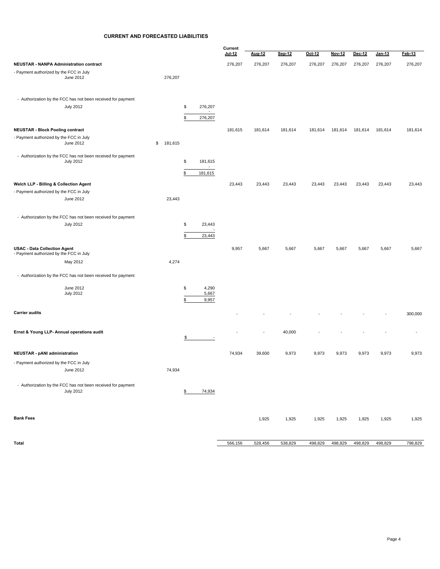#### **CURRENT AND FORECASTED LIABILITIES**

|                                                                                  |               |                                           | Current |         |         |         |         |         |               |         |  |
|----------------------------------------------------------------------------------|---------------|-------------------------------------------|---------|---------|---------|---------|---------|---------|---------------|---------|--|
|                                                                                  |               |                                           | Jul-12  | Aug-12  | Sep-12  | Oct-12  | Nov-12  | Dec-12  | <u>Jan-13</u> | Feb-13  |  |
| NEUSTAR - NANPA Administration contract                                          |               |                                           | 276,207 | 276,207 | 276,207 | 276,207 | 276,207 | 276,207 | 276,207       | 276,207 |  |
| - Payment authorized by the FCC in July                                          |               |                                           |         |         |         |         |         |         |               |         |  |
| June 2012                                                                        | 276,207       |                                           |         |         |         |         |         |         |               |         |  |
|                                                                                  |               |                                           |         |         |         |         |         |         |               |         |  |
|                                                                                  |               |                                           |         |         |         |         |         |         |               |         |  |
| - Authorization by the FCC has not been received for payment                     |               |                                           |         |         |         |         |         |         |               |         |  |
| <b>July 2012</b>                                                                 |               | \$<br>276,207<br>$\sim$                   |         |         |         |         |         |         |               |         |  |
|                                                                                  |               | 276,207<br>\$                             |         |         |         |         |         |         |               |         |  |
| <b>NEUSTAR - Block Pooling contract</b>                                          |               |                                           | 181,615 |         |         |         |         |         |               |         |  |
| - Payment authorized by the FCC in July                                          |               |                                           |         | 181,614 | 181,614 | 181,614 | 181,614 | 181,614 | 181,614       | 181,614 |  |
| June 2012                                                                        | \$<br>181,615 |                                           |         |         |         |         |         |         |               |         |  |
|                                                                                  |               |                                           |         |         |         |         |         |         |               |         |  |
| - Authorization by the FCC has not been received for payment<br><b>July 2012</b> |               | \$<br>181,615                             |         |         |         |         |         |         |               |         |  |
|                                                                                  |               | $\sim$                                    |         |         |         |         |         |         |               |         |  |
|                                                                                  |               | \$<br>181,615                             |         |         |         |         |         |         |               |         |  |
| Welch LLP - Billing & Collection Agent                                           |               |                                           | 23,443  | 23,443  | 23,443  | 23,443  | 23,443  | 23,443  | 23,443        | 23,443  |  |
| - Payment authorized by the FCC in July                                          |               |                                           |         |         |         |         |         |         |               |         |  |
| June 2012                                                                        | 23,443        |                                           |         |         |         |         |         |         |               |         |  |
|                                                                                  |               |                                           |         |         |         |         |         |         |               |         |  |
| - Authorization by the FCC has not been received for payment                     |               |                                           |         |         |         |         |         |         |               |         |  |
| <b>July 2012</b>                                                                 |               | \$<br>23,443                              |         |         |         |         |         |         |               |         |  |
|                                                                                  |               | $\overline{\phantom{a}}$                  |         |         |         |         |         |         |               |         |  |
|                                                                                  |               | \$<br>23,443                              |         |         |         |         |         |         |               |         |  |
| <b>USAC - Data Collection Agent</b>                                              |               |                                           | 9,957   | 5,667   | 5,667   | 5,667   | 5,667   | 5,667   | 5,667         | 5,667   |  |
| - Payment authorized by the FCC in July                                          |               |                                           |         |         |         |         |         |         |               |         |  |
| May 2012                                                                         | 4,274         |                                           |         |         |         |         |         |         |               |         |  |
|                                                                                  |               |                                           |         |         |         |         |         |         |               |         |  |
| - Authorization by the FCC has not been received for payment                     |               |                                           |         |         |         |         |         |         |               |         |  |
| June 2012                                                                        |               | 4,290<br>\$                               |         |         |         |         |         |         |               |         |  |
| <b>July 2012</b>                                                                 |               | 5,667                                     |         |         |         |         |         |         |               |         |  |
|                                                                                  |               | \$<br>9,957                               |         |         |         |         |         |         |               |         |  |
| <b>Carrier audits</b>                                                            |               |                                           |         |         |         |         |         |         |               | 300,000 |  |
|                                                                                  |               |                                           |         |         |         |         |         |         |               |         |  |
|                                                                                  |               |                                           |         |         |         |         |         |         |               |         |  |
| Ernst & Young LLP- Annual operations audit                                       |               | $\frac{\mathsf{s}}{\mathsf{s}}$<br>$\sim$ |         |         | 40,000  |         |         |         |               |         |  |
|                                                                                  |               |                                           |         |         |         |         |         |         |               |         |  |
| NEUSTAR - pANI administration                                                    |               |                                           | 74,934  | 39,600  | 9,973   | 9,973   | 9,973   | 9,973   | 9,973         | 9,973   |  |
|                                                                                  |               |                                           |         |         |         |         |         |         |               |         |  |
| - Payment authorized by the FCC in July                                          |               |                                           |         |         |         |         |         |         |               |         |  |
| June 2012                                                                        | 74,934        |                                           |         |         |         |         |         |         |               |         |  |
| - Authorization by the FCC has not been received for payment                     |               |                                           |         |         |         |         |         |         |               |         |  |
| <b>July 2012</b>                                                                 |               | $\frac{1}{2}$<br>74,934                   |         |         |         |         |         |         |               |         |  |
|                                                                                  |               |                                           |         |         |         |         |         |         |               |         |  |
|                                                                                  |               |                                           |         |         |         |         |         |         |               |         |  |
|                                                                                  |               |                                           |         |         |         |         |         |         |               |         |  |
| <b>Bank Fees</b>                                                                 |               |                                           |         | 1,925   | 1,925   | 1,925   | 1,925   | 1,925   | 1,925         | 1,925   |  |
|                                                                                  |               |                                           |         |         |         |         |         |         |               |         |  |
|                                                                                  |               |                                           |         |         |         |         |         |         |               |         |  |
| Total                                                                            |               |                                           | 566,156 | 528,456 | 538,829 | 498,829 | 498,829 | 498,829 | 498,829       | 798,829 |  |